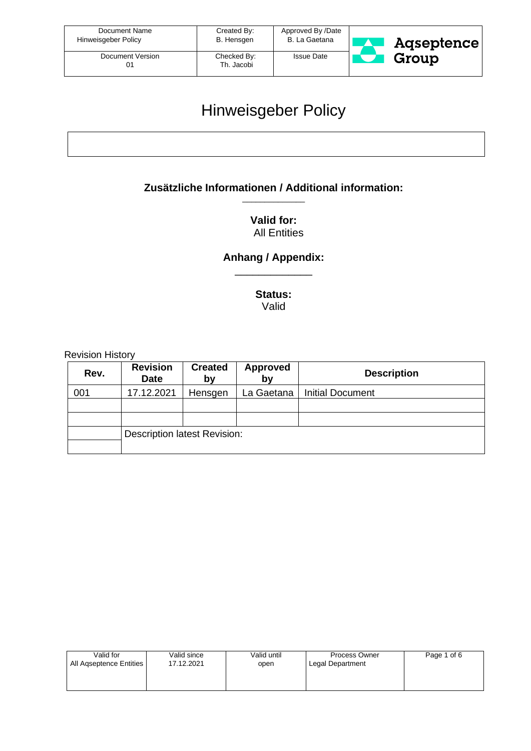| Document Name       | Created By:               | Approved By /Date | Agseptence |
|---------------------|---------------------------|-------------------|------------|
| Hinweisgeber Policy | B. Hensgen                | B. La Gaetana     |            |
| Document Version    | Checked By:<br>Th. Jacobi | <b>Issue Date</b> | Group      |

## Hinweisgeber Policy

#### **Zusätzliche Informationen / Additional information:** \_\_\_\_\_\_\_\_\_\_\_\_\_\_

#### **Valid for:**  All Entities

#### **Anhang / Appendix:** \_\_\_\_\_\_\_\_\_\_\_\_\_

**Status:** Valid

Revision History

| Rev. | <b>Revision</b><br><b>Date</b>      | <b>Created</b><br>bv | <b>Approved</b><br>by | <b>Description</b>      |
|------|-------------------------------------|----------------------|-----------------------|-------------------------|
| 001  | 17.12.2021                          | Hensgen              | La Gaetana            | <b>Initial Document</b> |
|      |                                     |                      |                       |                         |
|      |                                     |                      |                       |                         |
|      | <b>Description latest Revision:</b> |                      |                       |                         |
|      |                                     |                      |                       |                         |

| Valid for               | Valid since | Valid until | Process Owner    | Page 1 of 6 |
|-------------------------|-------------|-------------|------------------|-------------|
| All Agseptence Entities | 17.12.2021  | open        | Legal Department |             |
|                         |             |             |                  |             |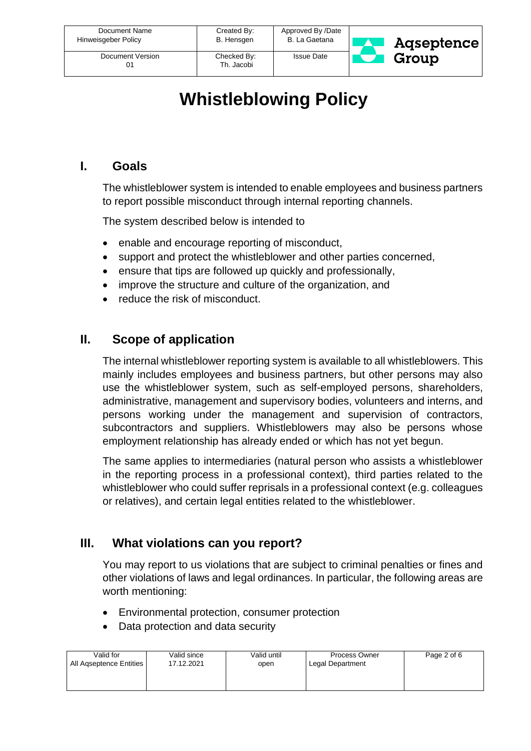| Document Name<br>Hinweisgeber Policy | Created By:<br>B. Hensgen | Approved By /Date<br>B. La Gaetana | Agseptence |
|--------------------------------------|---------------------------|------------------------------------|------------|
| Document Version                     | Checked By:<br>Th. Jacobi | <b>Issue Date</b>                  | Group      |

# **Whistleblowing Policy**

#### **I. Goals**

The whistleblower system is intended to enable employees and business partners to report possible misconduct through internal reporting channels.

The system described below is intended to

- enable and encourage reporting of misconduct,
- support and protect the whistleblower and other parties concerned,
- ensure that tips are followed up quickly and professionally,
- improve the structure and culture of the organization, and
- reduce the risk of misconduct.

#### **II. Scope of application**

The internal whistleblower reporting system is available to all whistleblowers. This mainly includes employees and business partners, but other persons may also use the whistleblower system, such as self-employed persons, shareholders, administrative, management and supervisory bodies, volunteers and interns, and persons working under the management and supervision of contractors, subcontractors and suppliers. Whistleblowers may also be persons whose employment relationship has already ended or which has not yet begun.

The same applies to intermediaries (natural person who assists a whistleblower in the reporting process in a professional context), third parties related to the whistleblower who could suffer reprisals in a professional context (e.g. colleagues or relatives), and certain legal entities related to the whistleblower.

## **III. What violations can you report?**

You may report to us violations that are subject to criminal penalties or fines and other violations of laws and legal ordinances. In particular, the following areas are worth mentioning:

- Environmental protection, consumer protection
- Data protection and data security

| Valid for               | Valid since | Valid until | Process Owner    | Page 2 of 6 |
|-------------------------|-------------|-------------|------------------|-------------|
| All Agseptence Entities | 17.12.2021  | open        | Legal Department |             |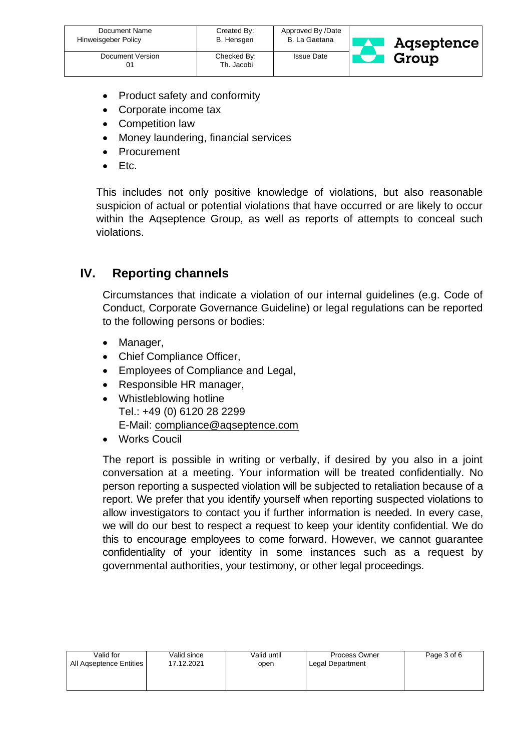| Document Name<br>Hinweisgeber Policy | Created By:<br>B. Hensgen | Approved By /Date<br>B. La Gaetana | Agseptence |
|--------------------------------------|---------------------------|------------------------------------|------------|
| Document Version                     | Checked By:<br>Th. Jacobi | <b>Issue Date</b>                  | Group      |

- Product safety and conformity
- Corporate income tax
- Competition law
- Money laundering, financial services
- **Procurement**
- Etc.

This includes not only positive knowledge of violations, but also reasonable suspicion of actual or potential violations that have occurred or are likely to occur within the Aqseptence Group, as well as reports of attempts to conceal such violations.

## **IV. Reporting channels**

Circumstances that indicate a violation of our internal guidelines (e.g. Code of Conduct, Corporate Governance Guideline) or legal regulations can be reported to the following persons or bodies:

- Manager,
- Chief Compliance Officer,
- Employees of Compliance and Legal,
- Responsible HR manager,
- Whistleblowing hotline Tel.: +49 (0) 6120 28 2299 E-Mail: [compliance@aqseptence.com](mailto:compliance@aqseptence.com)
- Works Coucil

The report is possible in writing or verbally, if desired by you also in a joint conversation at a meeting. Your information will be treated confidentially. No person reporting a suspected violation will be subjected to retaliation because of a report. We prefer that you identify yourself when reporting suspected violations to allow investigators to contact you if further information is needed. In every case, we will do our best to respect a request to keep your identity confidential. We do this to encourage employees to come forward. However, we cannot guarantee confidentiality of your identity in some instances such as a request by governmental authorities, your testimony, or other legal proceedings.

| Valid for               | Valid since | Valid until | Process Owner    | Page 3 of 6 |
|-------------------------|-------------|-------------|------------------|-------------|
| All Agseptence Entities | 17.12.2021  | open        | Legal Department |             |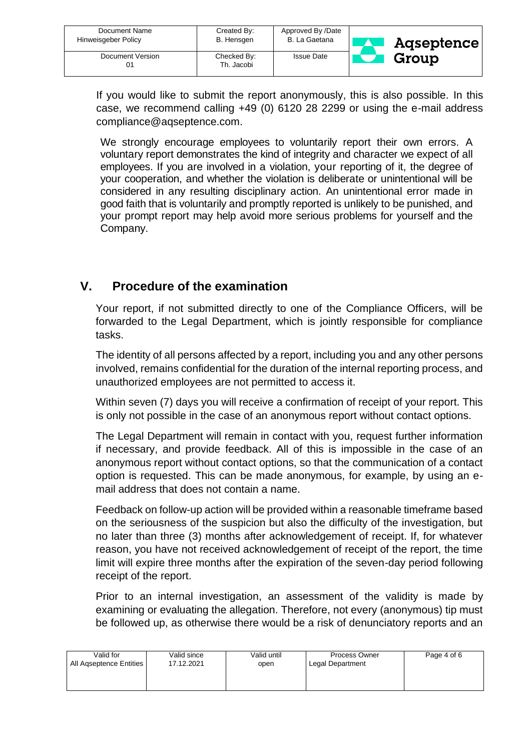| Document Name<br>Hinweisgeber Policy | Created By:<br>B. Hensgen | Approved By /Date<br>B. La Gaetana | <b>Agseptence</b> |
|--------------------------------------|---------------------------|------------------------------------|-------------------|
| Document Version<br>01               | Checked By:<br>Th. Jacobi | <b>Issue Date</b>                  | Group             |

If you would like to submit the report anonymously, this is also possible. In this case, we recommend calling +49 (0) 6120 28 2299 or using the e-mail address compliance@aqseptence.com.

We strongly encourage employees to voluntarily report their own errors. A voluntary report demonstrates the kind of integrity and character we expect of all employees. If you are involved in a violation, your reporting of it, the degree of your cooperation, and whether the violation is deliberate or unintentional will be considered in any resulting disciplinary action. An unintentional error made in good faith that is voluntarily and promptly reported is unlikely to be punished, and your prompt report may help avoid more serious problems for yourself and the Company.

## **V. Procedure of the examination**

Your report, if not submitted directly to one of the Compliance Officers, will be forwarded to the Legal Department, which is jointly responsible for compliance tasks.

The identity of all persons affected by a report, including you and any other persons involved, remains confidential for the duration of the internal reporting process, and unauthorized employees are not permitted to access it.

Within seven (7) days you will receive a confirmation of receipt of your report. This is only not possible in the case of an anonymous report without contact options.

The Legal Department will remain in contact with you, request further information if necessary, and provide feedback. All of this is impossible in the case of an anonymous report without contact options, so that the communication of a contact option is requested. This can be made anonymous, for example, by using an email address that does not contain a name.

Feedback on follow-up action will be provided within a reasonable timeframe based on the seriousness of the suspicion but also the difficulty of the investigation, but no later than three (3) months after acknowledgement of receipt. If, for whatever reason, you have not received acknowledgement of receipt of the report, the time limit will expire three months after the expiration of the seven-day period following receipt of the report.

Prior to an internal investigation, an assessment of the validity is made by examining or evaluating the allegation. Therefore, not every (anonymous) tip must be followed up, as otherwise there would be a risk of denunciatory reports and an

| Valid for               | Valid since | Valid until | Process Owner    | Page 4 of 6 |
|-------------------------|-------------|-------------|------------------|-------------|
| All Agseptence Entities | 17.12.2021  | open        | Legal Department |             |
|                         |             |             |                  |             |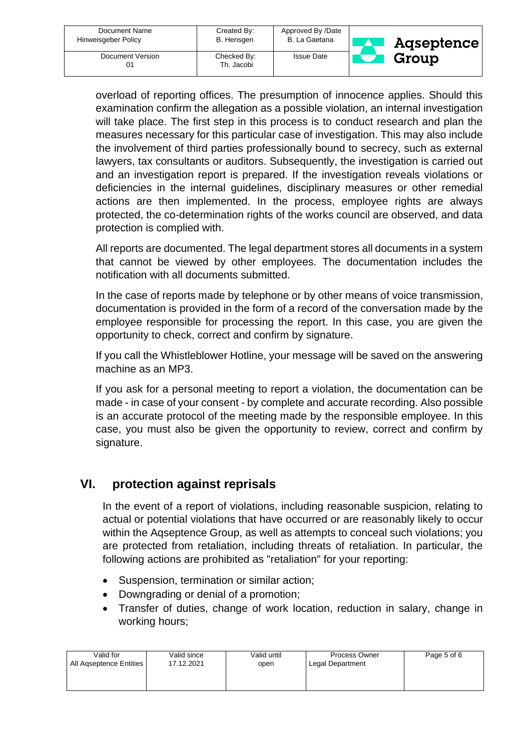| Document Name<br>Hinweisgeber Policy | Created By:<br>B. Hensgen | Approved By /Date<br>B. La Gaetana | <b>Agseptence</b> |
|--------------------------------------|---------------------------|------------------------------------|-------------------|
| Document Version                     | Checked By:<br>Th. Jacobi | <b>Issue Date</b>                  | Group             |

overload of reporting offices. The presumption of innocence applies. Should this examination confirm the allegation as a possible violation, an internal investigation will take place. The first step in this process is to conduct research and plan the measures necessary for this particular case of investigation. This may also include the involvement of third parties professionally bound to secrecy, such as external lawyers, tax consultants or auditors. Subsequently, the investigation is carried out and an investigation report is prepared. If the investigation reveals violations or deficiencies in the internal guidelines, disciplinary measures or other remedial actions are then implemented. In the process, employee rights are always protected, the co-determination rights of the works council are observed, and data protection is complied with.

All reports are documented. The legal department stores all documents in a system that cannot be viewed by other employees. The documentation includes the notification with all documents submitted.

In the case of reports made by telephone or by other means of voice transmission, documentation is provided in the form of a record of the conversation made by the employee responsible for processing the report. In this case, you are given the opportunity to check, correct and confirm by signature.

If you call the Whistleblower Hotline, your message will be saved on the answering machine as an MP3.

If you ask for a personal meeting to report a violation, the documentation can be made - in case of your consent - by complete and accurate recording. Also possible is an accurate protocol of the meeting made by the responsible employee. In this case, you must also be given the opportunity to review, correct and confirm by signature.

## **VI. protection against reprisals**

In the event of a report of violations, including reasonable suspicion, relating to actual or potential violations that have occurred or are reasonably likely to occur within the Aqseptence Group, as well as attempts to conceal such violations; you are protected from retaliation, including threats of retaliation. In particular, the following actions are prohibited as "retaliation" for your reporting:

- Suspension, termination or similar action;
- Downgrading or denial of a promotion;
- Transfer of duties, change of work location, reduction in salary, change in working hours;

| Valid for               | Valid since | Valid until | Process Owner    | Page 5 of 6 |
|-------------------------|-------------|-------------|------------------|-------------|
| All Agseptence Entities | 17.12.2021  | open        | Legal Department |             |